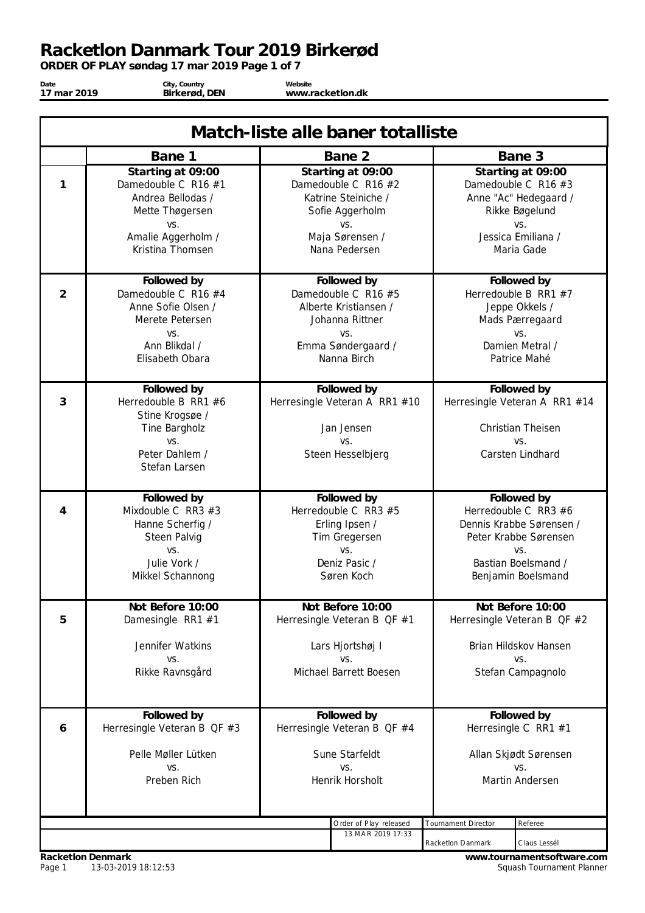*ORDER OF PLAY søndag 17 mar 2019 Page 1 of 7*

**Date 17 mar 2019**

**City, Country Birkerød, DEN**

**Website www.racketlon.dk**

| Match-liste alle baner totalliste |                                                                                                                                   |  |                                                                                                                               |                                                                                        |                                                                                                                                                |  |  |
|-----------------------------------|-----------------------------------------------------------------------------------------------------------------------------------|--|-------------------------------------------------------------------------------------------------------------------------------|----------------------------------------------------------------------------------------|------------------------------------------------------------------------------------------------------------------------------------------------|--|--|
|                                   | Bane 1                                                                                                                            |  | Bane 2                                                                                                                        |                                                                                        | Bane 3                                                                                                                                         |  |  |
| 1                                 | Starting at 09:00<br>Damedouble C R16 #1<br>Andrea Bellodas /<br>Mette Thøgersen<br>VS.<br>Amalie Aggerholm /<br>Kristina Thomsen |  | Starting at 09:00<br>Damedouble C R16 #2<br>Katrine Steiniche /<br>Sofie Aggerholm<br>VS.<br>Maja Sørensen /<br>Nana Pedersen |                                                                                        | Starting at 09:00<br>Damedouble C R16 #3<br>Anne "Ac" Hedegaard /<br>Rikke Bøgelund<br>VS.<br>Jessica Emiliana /<br>Maria Gade                 |  |  |
| $\overline{2}$                    | Followed by<br>Damedouble C R16 #4<br>Anne Sofie Olsen /<br>Merete Petersen<br>VS.<br>Ann Blikdal /<br>Elisabeth Obara            |  | Followed by<br>Damedouble C R16 #5<br>Alberte Kristiansen /<br>Johanna Rittner<br>VS.<br>Emma Søndergaard /<br>Nanna Birch    |                                                                                        | Followed by<br>Herredouble B RR1 #7<br>Jeppe Okkels /<br>Mads Pærregaard<br>VS.<br>Damien Metral /<br>Patrice Mahé                             |  |  |
| 3                                 | Followed by<br>Herredouble B RR1 #6<br>Stine Krogsøe /<br>Tine Bargholz<br>VS.<br>Peter Dahlem /<br>Stefan Larsen                 |  | Followed by<br>Herresingle Veteran A RR1 #10<br>Jan Jensen<br>VS.<br>Steen Hesselbjerg                                        |                                                                                        | Followed by<br>Herresingle Veteran A RR1 #14<br><b>Christian Theisen</b><br>VS.<br>Carsten Lindhard                                            |  |  |
| 4                                 | Followed by<br>Mixdouble C RR3 $#3$<br>Hanne Scherfig /<br>Steen Palvig<br>VS.<br>Julie Vork /<br>Mikkel Schannong                |  | Followed by<br>Herredouble C RR3 #5<br>Erling Ipsen /<br>Tim Gregersen<br>VS.<br>Deniz Pasic /<br>Søren Koch                  |                                                                                        | Followed by<br>Herredouble C RR3 $#6$<br>Dennis Krabbe Sørensen /<br>Peter Krabbe Sørensen<br>VS.<br>Bastian Boelsmand /<br>Benjamin Boelsmand |  |  |
| 5                                 | Not Before 10:00<br>Damesingle RR1 #1<br>Jennifer Watkins<br>VS.<br>Rikke Ravnsgård                                               |  | Not Before 10:00<br>Herresingle Veteran B QF #1<br>Lars Hjortshøj I<br>VS.<br>Michael Barrett Boesen                          |                                                                                        | Not Before 10:00<br>Herresingle Veteran B QF #2<br>Brian Hildskov Hansen<br>VS.<br>Stefan Campagnolo                                           |  |  |
| 6                                 | Followed by<br>Herresingle Veteran B QF #3<br>Pelle Møller Lütken<br>VS.<br>Preben Rich                                           |  | Followed by<br>Herresingle Veteran B QF #4<br>Sune Starfeldt<br>VS.<br>Henrik Horsholt                                        | Followed by<br>Herresingle C RR1 #1<br>Allan Skjødt Sørensen<br>VS.<br>Martin Andersen |                                                                                                                                                |  |  |
|                                   | Order of Play released<br>Tournament Director<br>Referee<br>13 MAR 2019 17:33<br>Racketlon Danmark<br>Claus Lessél                |  |                                                                                                                               |                                                                                        |                                                                                                                                                |  |  |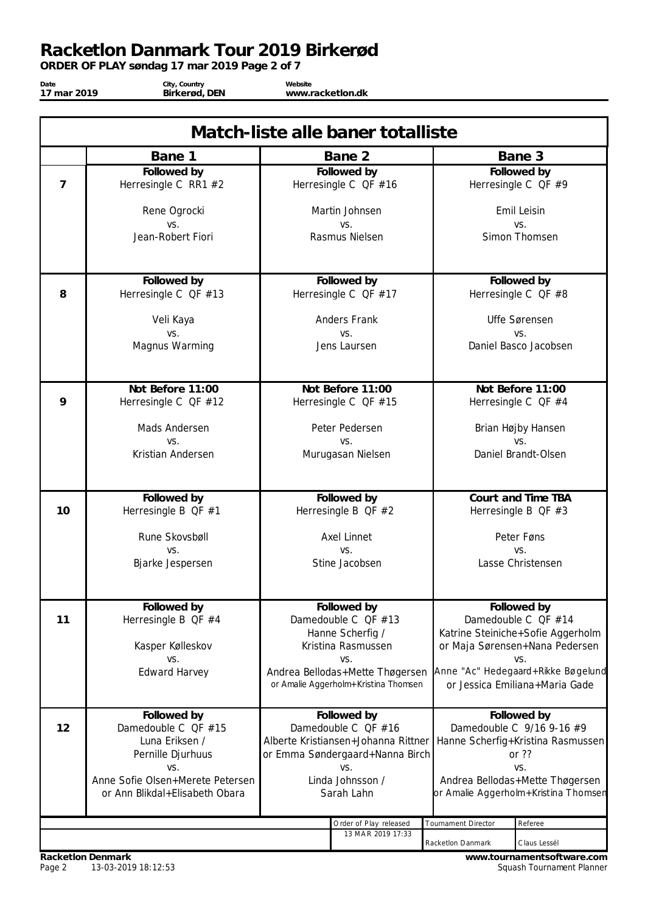*ORDER OF PLAY søndag 17 mar 2019 Page 2 of 7*

**Date 17 mar 2019**

**City, Country Birkerød, DEN**

**Website www.racketlon.dk**

|                | Match-liste alle baner totalliste       |                   |                                        |                                                                                |                                                                     |  |
|----------------|-----------------------------------------|-------------------|----------------------------------------|--------------------------------------------------------------------------------|---------------------------------------------------------------------|--|
|                | Bane 1                                  |                   | Bane 2                                 |                                                                                | Bane 3                                                              |  |
|                | Followed by                             |                   | Followed by                            |                                                                                | Followed by                                                         |  |
| $\overline{7}$ | Herresingle C RR1 #2                    |                   | Herresingle C QF #16                   |                                                                                | Herresingle C QF #9                                                 |  |
|                | Rene Ogrocki                            |                   | Martin Johnsen                         |                                                                                | Emil Leisin                                                         |  |
|                | VS.<br>Jean-Robert Fiori                |                   | VS.<br>Rasmus Nielsen                  |                                                                                | VS.<br>Simon Thomsen                                                |  |
|                |                                         |                   |                                        |                                                                                |                                                                     |  |
|                |                                         |                   |                                        |                                                                                |                                                                     |  |
|                | Followed by                             |                   | Followed by                            |                                                                                | Followed by                                                         |  |
| 8              | Herresingle C $QF #13$                  |                   | Herresingle C $QF #17$                 |                                                                                | Herresingle C $QF #8$                                               |  |
|                | Veli Kaya                               |                   | Anders Frank                           |                                                                                | Uffe Sørensen                                                       |  |
|                | VS.                                     |                   | VS.                                    |                                                                                | VS.                                                                 |  |
|                | Magnus Warming                          |                   | Jens Laursen                           |                                                                                | Daniel Basco Jacobsen                                               |  |
|                |                                         |                   |                                        |                                                                                |                                                                     |  |
|                | Not Before 11:00                        |                   | Not Before 11:00                       |                                                                                | Not Before 11:00                                                    |  |
| 9              | Herresingle C $QF #12$                  |                   | Herresingle C QF #15                   |                                                                                | Herresingle C QF #4                                                 |  |
|                | Mads Andersen                           |                   | Peter Pedersen                         |                                                                                | Brian Højby Hansen                                                  |  |
|                | VS.                                     |                   | VS.                                    |                                                                                | VS.                                                                 |  |
|                | Kristian Andersen                       | Murugasan Nielsen |                                        |                                                                                | Daniel Brandt-Olsen                                                 |  |
|                |                                         |                   |                                        |                                                                                |                                                                     |  |
|                | Followed by                             |                   | Followed by                            |                                                                                | Court and Time TBA                                                  |  |
| 10             | Herresingle B QF #1                     |                   | Herresingle B QF $#2$                  |                                                                                | Herresingle B $QF \#3$                                              |  |
|                | Rune Skovsbøll                          |                   | <b>Axel Linnet</b>                     |                                                                                | Peter Føns                                                          |  |
|                | VS.                                     |                   | VS.                                    |                                                                                | VS.                                                                 |  |
|                | Bjarke Jespersen                        |                   | Stine Jacobsen                         |                                                                                | Lasse Christensen                                                   |  |
|                |                                         |                   |                                        |                                                                                |                                                                     |  |
|                | Followed by                             |                   | Followed by                            |                                                                                | Followed by                                                         |  |
| 11             | Herresingle B QF #4                     |                   | Damedouble C QF #13                    |                                                                                | Damedouble C QF #14                                                 |  |
|                | Kasper Kølleskov                        |                   | Hanne Scherfig /<br>Kristina Rasmussen |                                                                                | Katrine Steiniche+Sofie Aggerholm<br>or Maja Sørensen+Nana Pedersen |  |
|                | VS.                                     |                   | VS.                                    |                                                                                | VS.                                                                 |  |
|                | <b>Edward Harvey</b>                    |                   | Andrea Bellodas+Mette Thøgersen        |                                                                                | Anne "Ac" Hedegaard+Rikke Bøgelund                                  |  |
|                |                                         |                   | or Amalie Aggerholm+Kristina Thomsen   |                                                                                | or Jessica Emiliana+Maria Gade                                      |  |
|                | Followed by                             |                   | Followed by                            |                                                                                | Followed by                                                         |  |
| 12             | Damedouble C QF #15                     |                   | Damedouble C QF #16                    |                                                                                | Damedouble C 9/16 9-16 #9                                           |  |
|                | Luna Eriksen /                          |                   | Alberte Kristiansen+Johanna Rittner    |                                                                                | Hanne Scherfig+Kristina Rasmussen                                   |  |
|                | Pernille Djurhuus                       |                   | or Emma Søndergaard+Nanna Birch        |                                                                                | or $??$                                                             |  |
|                | VS.<br>Anne Sofie Olsen+Merete Petersen |                   | VS.<br>Linda Johnsson /                | VS.<br>Andrea Bellodas+Mette Thøgersen<br>or Amalie Aggerholm+Kristina Thomsen |                                                                     |  |
|                | or Ann Blikdal+Elisabeth Obara          |                   | Sarah Lahn                             |                                                                                |                                                                     |  |
|                |                                         |                   |                                        |                                                                                |                                                                     |  |
|                |                                         |                   | Order of Play released                 | Tournament Director                                                            | Referee                                                             |  |
|                |                                         |                   | 13 MAR 2019 17:33                      | Racketlon Danmark                                                              | Claus Lessél                                                        |  |
|                |                                         |                   |                                        |                                                                                |                                                                     |  |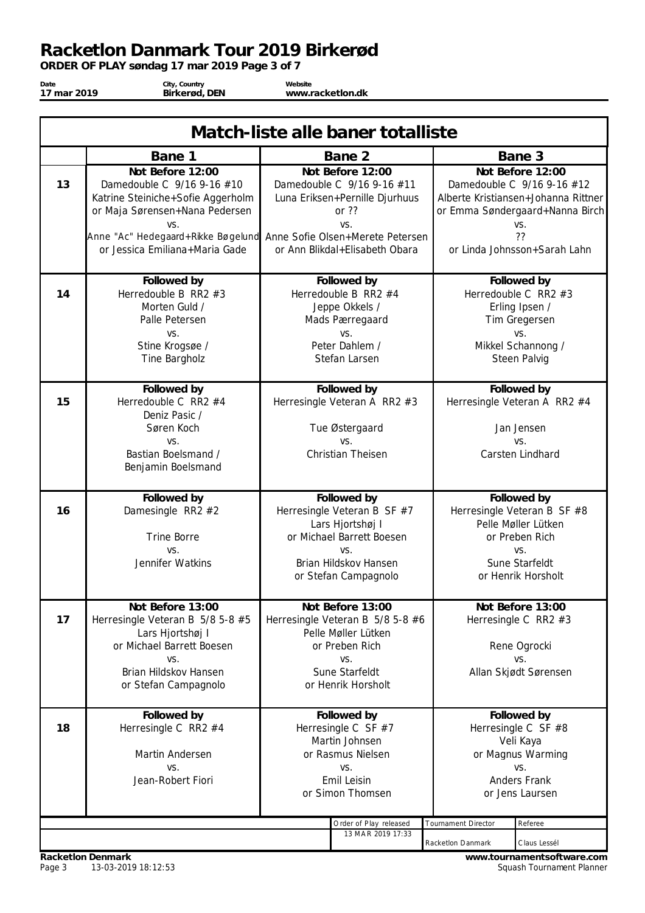*ORDER OF PLAY søndag 17 mar 2019 Page 3 of 7*

| Date        | City, Country | Website          |  |
|-------------|---------------|------------------|--|
| 17 mar 2019 | Birkerød, DEN | www.racketlon.dk |  |
|             |               |                  |  |

| Match-liste alle baner totalliste |                                                                                                                                                                                                                                       |                                                                                                                       |                                                                                                                                                     |                     |                                                                                                                                                                       |  |
|-----------------------------------|---------------------------------------------------------------------------------------------------------------------------------------------------------------------------------------------------------------------------------------|-----------------------------------------------------------------------------------------------------------------------|-----------------------------------------------------------------------------------------------------------------------------------------------------|---------------------|-----------------------------------------------------------------------------------------------------------------------------------------------------------------------|--|
|                                   | Bane 1                                                                                                                                                                                                                                |                                                                                                                       | Bane 2                                                                                                                                              |                     | Bane 3                                                                                                                                                                |  |
| 13                                | Not Before 12:00<br>Damedouble C 9/16 9-16 #10<br>Katrine Steiniche+Sofie Aggerholm<br>or Maja Sørensen+Nana Pedersen<br>VS.<br>Anne "Ac" Hedegaard+Rikke Bøgelund Anne Sofie Olsen+Merete Petersen<br>or Jessica Emiliana+Maria Gade |                                                                                                                       | Not Before 12:00<br>Damedouble C 9/16 9-16 #11<br>Luna Eriksen+Pernille Djurhuus<br>or ??<br>VS.<br>or Ann Blikdal+Elisabeth Obara                  |                     | Not Before 12:00<br>Damedouble C 9/16 9-16 #12<br>Alberte Kristiansen+Johanna Rittner<br>or Emma Søndergaard+Nanna Birch<br>VS.<br>??<br>or Linda Johnsson+Sarah Lahn |  |
| 14                                | Followed by<br>Herredouble B RR2 $#3$<br>Morten Guld /<br>Palle Petersen<br>VS.<br>Stine Krogsøe /<br>Tine Bargholz                                                                                                                   |                                                                                                                       | Followed by<br>Herredouble B RR2 #4<br>Jeppe Okkels /<br>Mads Pærregaard<br>VS.<br>Peter Dahlem /<br>Stefan Larsen                                  |                     | Followed by<br>Herredouble C RR2 #3<br>Erling Ipsen /<br>Tim Gregersen<br>VS.<br>Mikkel Schannong /<br>Steen Palvig                                                   |  |
| 15                                | Followed by<br>Herredouble C RR2 $#4$<br>Deniz Pasic /<br>Søren Koch<br>VS.<br>Bastian Boelsmand /<br>Benjamin Boelsmand                                                                                                              |                                                                                                                       | Followed by<br>Herresingle Veteran A RR2 #3<br>Tue Østergaard<br>VS.<br>Christian Theisen                                                           |                     | Followed by<br>Herresingle Veteran A RR2 #4<br>Jan Jensen<br>VS.<br>Carsten Lindhard                                                                                  |  |
| 16                                | Followed by<br>Damesingle RR2 #2<br><b>Trine Borre</b><br>VS.<br>Jennifer Watkins                                                                                                                                                     |                                                                                                                       | Followed by<br>Herresingle Veteran B SF #7<br>Lars Hjortshøj I<br>or Michael Barrett Boesen<br>VS.<br>Brian Hildskov Hansen<br>or Stefan Campagnolo |                     | Followed by<br>Herresingle Veteran B SF #8<br>Pelle Møller Lütken<br>or Preben Rich<br>VS.<br>Sune Starfeldt<br>or Henrik Horsholt                                    |  |
| 17                                | Not Before 13:00<br>Herresingle Veteran B 5/8 5-8 #5<br>Lars Hjortshøj I<br>or Michael Barrett Boesen<br>VS.<br>Brian Hildskov Hansen<br>or Stefan Campagnolo                                                                         |                                                                                                                       | Not Before 13:00<br>Herresingle Veteran B 5/8 5-8 #6<br>Pelle Møller Lütken<br>or Preben Rich<br>VS.<br>Sune Starfeldt<br>or Henrik Horsholt        |                     | Not Before 13:00<br>Herresingle C RR2 #3<br>Rene Ogrocki<br>VS.<br>Allan Skjødt Sørensen                                                                              |  |
| 18                                | Followed by<br>Herresingle C RR2 #4<br>Martin Andersen<br>VS.<br>Jean-Robert Fiori                                                                                                                                                    | Followed by<br>Herresingle C SF $#7$<br>Martin Johnsen<br>or Rasmus Nielsen<br>VS.<br>Emil Leisin<br>or Simon Thomsen |                                                                                                                                                     |                     | Followed by<br>Herresingle C SF #8<br>Veli Kaya<br>or Magnus Warming<br>VS.<br>Anders Frank<br>or Jens Laursen                                                        |  |
|                                   |                                                                                                                                                                                                                                       |                                                                                                                       | Order of Play released<br>13 MAR 2019 17:33                                                                                                         | Tournament Director | Referee                                                                                                                                                               |  |
|                                   |                                                                                                                                                                                                                                       |                                                                                                                       | Racketlon Danmark                                                                                                                                   | Claus Lessél        |                                                                                                                                                                       |  |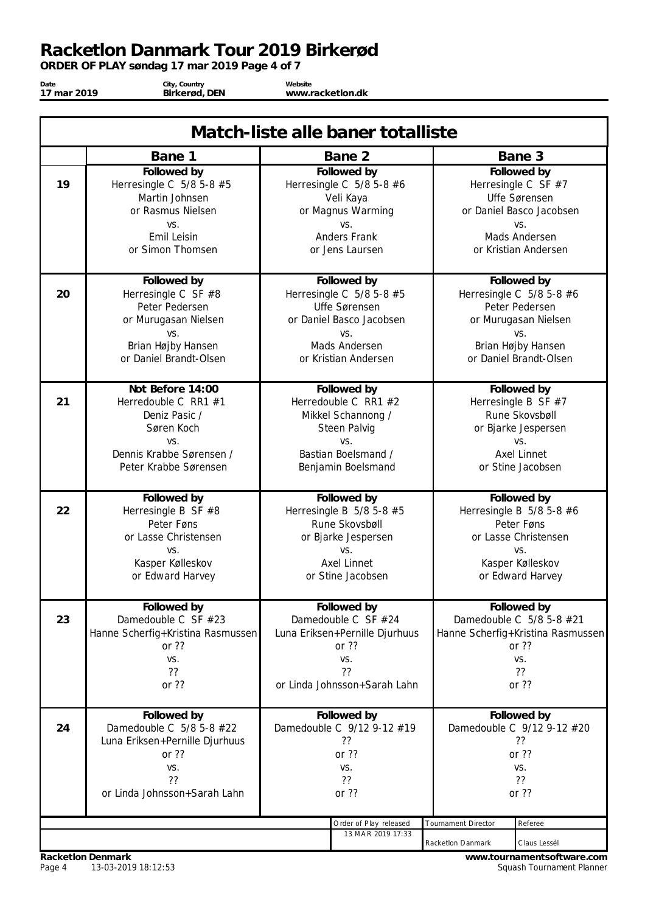*ORDER OF PLAY søndag 17 mar 2019 Page 4 of 7*

**Date 17 mar 2019**

**City, Country Birkerød, DEN**

**Website www.racketlon.dk**

|    | Match-liste alle baner totalliste                                                                                                   |                                                                                                                                                                  |                                                                                                                                          |                                                                                                                                 |                                                                                                                                            |  |
|----|-------------------------------------------------------------------------------------------------------------------------------------|------------------------------------------------------------------------------------------------------------------------------------------------------------------|------------------------------------------------------------------------------------------------------------------------------------------|---------------------------------------------------------------------------------------------------------------------------------|--------------------------------------------------------------------------------------------------------------------------------------------|--|
|    | Bane 1                                                                                                                              |                                                                                                                                                                  | Bane 2                                                                                                                                   |                                                                                                                                 | Bane 3                                                                                                                                     |  |
| 19 | Followed by<br>Herresingle C $5/8$ 5-8 $#5$<br>Martin Johnsen<br>or Rasmus Nielsen<br>VS.<br>Emil Leisin<br>or Simon Thomsen        | Followed by<br>Herresingle C $5/8$ 5-8 $#6$<br>Veli Kaya<br>or Magnus Warming<br>VS.<br>Anders Frank<br>or Jens Laursen                                          |                                                                                                                                          |                                                                                                                                 | Followed by<br>Herresingle C SF $#7$<br>Uffe Sørensen<br>or Daniel Basco Jacobsen<br>VS.<br>Mads Andersen<br>or Kristian Andersen          |  |
| 20 | Followed by<br>Herresingle C SF #8<br>Peter Pedersen<br>or Murugasan Nielsen<br>VS.<br>Brian Højby Hansen<br>or Daniel Brandt-Olsen |                                                                                                                                                                  | Followed by<br>Herresingle C $5/8$ 5-8 $#5$<br>Uffe Sørensen<br>or Daniel Basco Jacobsen<br>VS.<br>Mads Andersen<br>or Kristian Andersen |                                                                                                                                 | Followed by<br>Herresingle C $5/8$ 5-8 #6<br>Peter Pedersen<br>or Murugasan Nielsen<br>VS.<br>Brian Højby Hansen<br>or Daniel Brandt-Olsen |  |
| 21 | Not Before 14:00<br>Herredouble C RR1 #1<br>Deniz Pasic /<br>Søren Koch<br>VS.<br>Dennis Krabbe Sørensen /<br>Peter Krabbe Sørensen | Followed by<br>Herredouble C RR1 #2<br>Mikkel Schannong /<br>Steen Palvig<br>VS.<br>Bastian Boelsmand /<br>Benjamin Boelsmand                                    |                                                                                                                                          | Followed by<br>Herresingle B SF $#7$<br>Rune Skovsbøll<br>or Bjarke Jespersen<br>VS.<br><b>Axel Linnet</b><br>or Stine Jacobsen |                                                                                                                                            |  |
| 22 | Followed by<br>Herresingle B SF #8<br>Peter Føns<br>or Lasse Christensen<br>VS.<br>Kasper Kølleskov<br>or Edward Harvey             |                                                                                                                                                                  | Followed by<br>Herresingle B $5/8$ 5-8 $#5$<br>Rune Skovsbøll<br>or Bjarke Jespersen<br>VS.<br><b>Axel Linnet</b><br>or Stine Jacobsen   |                                                                                                                                 | Followed by<br>Herresingle B $5/8$ 5-8 $#6$<br>Peter Føns<br>or Lasse Christensen<br>VS.<br>Kasper Kølleskov<br>or Edward Harvey           |  |
| 23 | Followed by<br>Damedouble C SF #23<br>Hanne Scherfig+Kristina Rasmussen<br>or $??$<br>VS.<br>??<br>or ??                            |                                                                                                                                                                  | Followed by<br>Damedouble C SF #24<br>Luna Eriksen+Pernille Djurhuus<br>or ??<br>VS.<br>??<br>or Linda Johnsson+Sarah Lahn               |                                                                                                                                 | Followed by<br>Damedouble C 5/8 5-8 #21<br>Hanne Scherfig+Kristina Rasmussen<br>or $??$<br>VS.<br>??<br>or $??$                            |  |
| 24 | Followed by<br>Damedouble C 5/8 5-8 #22<br>Luna Eriksen+Pernille Djurhuus<br>or $??$<br>VS.<br>??<br>or Linda Johnsson+Sarah Lahn   | Followed by<br>Followed by<br>Damedouble C 9/12 9-12 #19<br>Damedouble C 9/12 9-12 #20<br>??<br>??<br>or ??<br>or ??<br>VS.<br>VS.<br>??<br>??<br>or ??<br>or ?? |                                                                                                                                          |                                                                                                                                 |                                                                                                                                            |  |
|    |                                                                                                                                     |                                                                                                                                                                  | Order of Play released<br>13 MAR 2019 17:33                                                                                              | <b>Tournament Director</b><br>Racketlon Danmark                                                                                 | Referee<br>Claus Lessél                                                                                                                    |  |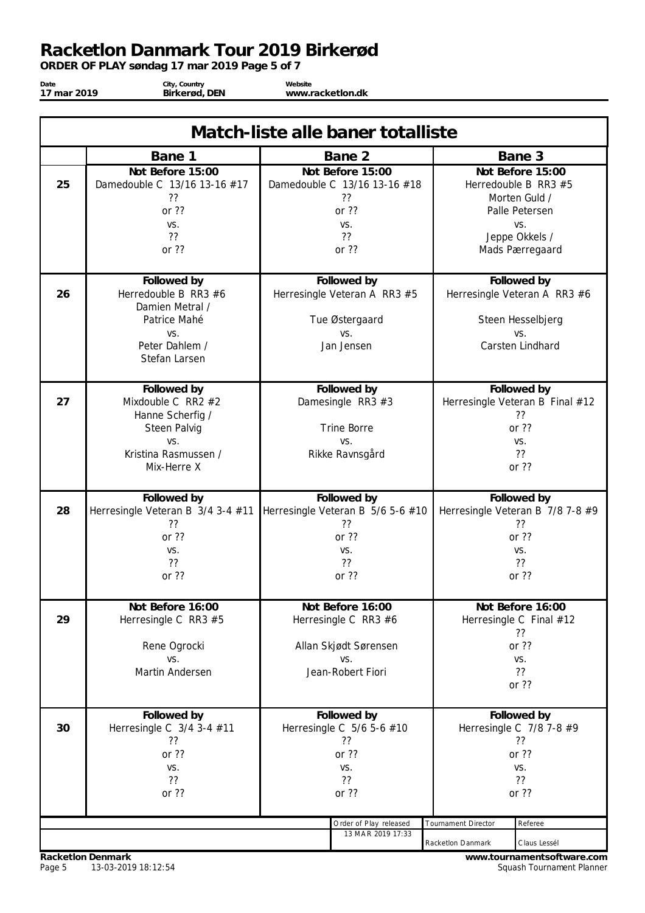*ORDER OF PLAY søndag 17 mar 2019 Page 5 of 7*

**Date 17 mar 2019**

**City, Country Birkerød, DEN**

**Website www.racketlon.dk**

| Match-liste alle baner totalliste |                                                                                                                    |  |                                                                                    |                                                 |                                                                                                      |
|-----------------------------------|--------------------------------------------------------------------------------------------------------------------|--|------------------------------------------------------------------------------------|-------------------------------------------------|------------------------------------------------------------------------------------------------------|
|                                   | Bane 1                                                                                                             |  | Bane 2                                                                             |                                                 | Bane 3                                                                                               |
| 25                                | Not Before 15:00<br>Damedouble C 13/16 13-16 #17<br>??<br>or ??<br>VS.<br>??                                       |  | Not Before 15:00<br>Damedouble C 13/16 13-16 #18<br>??<br>or ??<br>VS.<br>??       |                                                 | Not Before 15:00<br>Herredouble B RR3 #5<br>Morten Guld /<br>Palle Petersen<br>VS.<br>Jeppe Okkels / |
|                                   | or ??                                                                                                              |  | or ??                                                                              |                                                 | Mads Pærregaard                                                                                      |
| 26                                | Followed by<br>Herredouble B RR3 $#6$<br>Damien Metral /<br>Patrice Mahé<br>VS.<br>Peter Dahlem /<br>Stefan Larsen |  | Followed by<br>Herresingle Veteran A RR3 #5<br>Tue Østergaard<br>VS.<br>Jan Jensen |                                                 | Followed by<br>Herresingle Veteran A RR3 #6<br>Steen Hesselbjerg<br>VS.<br>Carsten Lindhard          |
|                                   | Followed by                                                                                                        |  | Followed by                                                                        |                                                 | Followed by                                                                                          |
| 27                                | Mixdouble C RR2 #2<br>Hanne Scherfig /<br>Steen Palvig<br>VS.<br>Kristina Rasmussen /<br>Mix-Herre X               |  | Damesingle RR3 #3<br><b>Trine Borre</b><br>VS.<br>Rikke Ravnsgård                  |                                                 | Herresingle Veteran B Final #12<br>??<br>or ??<br>VS.<br>??<br>or ??                                 |
| 28                                | Followed by<br>Herresingle Veteran B 3/4 3-4 #11                                                                   |  | Followed by<br>Herresingle Veteran B 5/6 5-6 #10                                   |                                                 | Followed by<br>Herresingle Veteran B 7/8 7-8 #9                                                      |
|                                   | ??<br>or ??<br>VS.<br>??<br>or ??                                                                                  |  | ??<br>or ??<br>VS.<br>??<br>or ??                                                  |                                                 | ??<br>or ??<br>VS.<br>??<br>or ??                                                                    |
| 29                                | Not Before 16:00<br>Herresingle C RR3 #5                                                                           |  | Not Before 16:00<br>Herresingle C RR3 #6                                           |                                                 | Not Before 16:00<br>Herresingle C Final #12<br>??                                                    |
|                                   | Rene Ogrocki<br>VS.<br>Martin Andersen                                                                             |  | Allan Skjødt Sørensen<br>VS.<br>Jean-Robert Fiori                                  |                                                 | or ??<br>VS.<br>??<br>or ??                                                                          |
| 30                                | Followed by<br>Herresingle C 3/4 3-4 #11<br>??<br>or ??<br>VS.<br>??<br>or ??                                      |  | Followed by<br>Herresingle C 5/6 5-6 #10<br>??<br>or ??<br>VS.<br>??<br>or ??      |                                                 | Followed by<br>Herresingle C $7/8$ 7-8 #9<br>??<br>or ??<br>VS.<br>??<br>or ??                       |
|                                   |                                                                                                                    |  | Order of Play released<br>13 MAR 2019 17:33                                        | <b>Tournament Director</b><br>Racketlon Danmark | Referee<br>Claus Lessél                                                                              |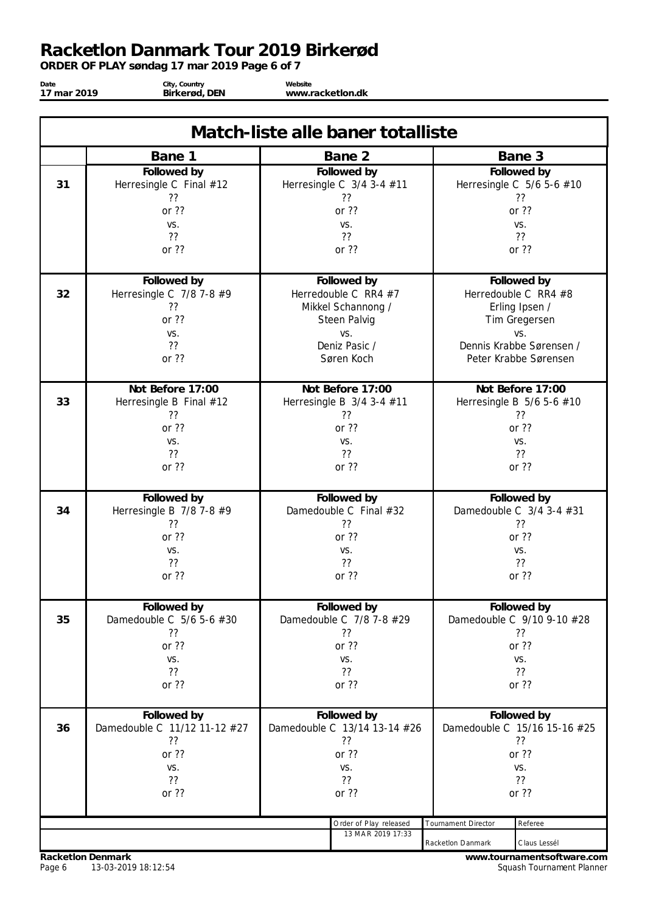*ORDER OF PLAY søndag 17 mar 2019 Page 6 of 7*

**Date 17 mar 2019**

**City, Country Birkerød, DEN**

**Website www.racketlon.dk**

| Match-liste alle baner totalliste |                                                                                                         |                              |                              |  |  |  |  |
|-----------------------------------|---------------------------------------------------------------------------------------------------------|------------------------------|------------------------------|--|--|--|--|
|                                   | Bane 1                                                                                                  | Bane 2                       | Bane 3                       |  |  |  |  |
| 31                                | Followed by                                                                                             | Followed by                  | Followed by                  |  |  |  |  |
|                                   | Herresingle C Final #12                                                                                 | Herresingle C 3/4 3-4 #11    | Herresingle C 5/6 5-6 #10    |  |  |  |  |
|                                   | ??                                                                                                      | ??                           | ??                           |  |  |  |  |
|                                   | or ??                                                                                                   | or ??                        | or ??                        |  |  |  |  |
|                                   | VS.                                                                                                     | VS.                          | VS.                          |  |  |  |  |
|                                   | ??                                                                                                      | ??                           | ??                           |  |  |  |  |
|                                   | or ??                                                                                                   | or ??                        | or ??                        |  |  |  |  |
| 32                                | Followed by                                                                                             | Followed by                  | Followed by                  |  |  |  |  |
|                                   | Herresingle C 7/8 7-8 #9                                                                                | Herredouble C RR4 $#7$       | Herredouble C RR4 #8         |  |  |  |  |
|                                   | ??                                                                                                      | Mikkel Schannong /           | Erling Ipsen /               |  |  |  |  |
|                                   | or ??                                                                                                   | Steen Palvig                 | Tim Gregersen                |  |  |  |  |
|                                   | VS.                                                                                                     | VS.                          | VS.                          |  |  |  |  |
|                                   | ??                                                                                                      | Deniz Pasic /                | Dennis Krabbe Sørensen /     |  |  |  |  |
|                                   | or ??                                                                                                   | Søren Koch                   | Peter Krabbe Sørensen        |  |  |  |  |
| 33                                | Not Before 17:00                                                                                        | Not Before 17:00             | Not Before 17:00             |  |  |  |  |
|                                   | Herresingle B Final #12                                                                                 | Herresingle B 3/4 3-4 #11    | Herresingle B 5/6 5-6 #10    |  |  |  |  |
|                                   | ??                                                                                                      | ??                           | ??                           |  |  |  |  |
|                                   | or $??$                                                                                                 | or $??$                      | or ??                        |  |  |  |  |
|                                   | VS.                                                                                                     | VS.                          | VS.                          |  |  |  |  |
|                                   | ??                                                                                                      | ??                           | ??                           |  |  |  |  |
|                                   | or $??$                                                                                                 | or $??$                      | or ??                        |  |  |  |  |
| 34                                | Followed by                                                                                             | Followed by                  | Followed by                  |  |  |  |  |
|                                   | Herresingle B 7/8 7-8 #9                                                                                | Damedouble C Final #32       | Damedouble C 3/4 3-4 #31     |  |  |  |  |
|                                   | ??                                                                                                      | ??                           | ??                           |  |  |  |  |
|                                   | or ??                                                                                                   | or ??                        | or ??                        |  |  |  |  |
|                                   | VS.                                                                                                     | VS.                          | VS.                          |  |  |  |  |
|                                   | ??                                                                                                      | ??                           | ??                           |  |  |  |  |
|                                   | or ??                                                                                                   | or ??                        | or ??                        |  |  |  |  |
| 35                                | Followed by                                                                                             | Followed by                  | Followed by                  |  |  |  |  |
|                                   | Damedouble C 5/6 5-6 #30                                                                                | Damedouble C 7/8 7-8 #29     | Damedouble C 9/10 9-10 #28   |  |  |  |  |
|                                   | ??                                                                                                      | ??                           | ??                           |  |  |  |  |
|                                   | or ??                                                                                                   | or ??                        | or ??                        |  |  |  |  |
|                                   | VS.                                                                                                     | VS.                          | VS.                          |  |  |  |  |
|                                   | ??                                                                                                      | ??                           | ??                           |  |  |  |  |
|                                   | or ??                                                                                                   | or ??                        | or ??                        |  |  |  |  |
| 36                                | Followed by                                                                                             | Followed by                  | Followed by                  |  |  |  |  |
|                                   | Damedouble C 11/12 11-12 #27                                                                            | Damedouble C 13/14 13-14 #26 | Damedouble C 15/16 15-16 #25 |  |  |  |  |
|                                   | ??                                                                                                      | ??                           | ??                           |  |  |  |  |
|                                   | or ??                                                                                                   | or ??                        | or ??                        |  |  |  |  |
|                                   | VS.                                                                                                     | VS.                          | VS.                          |  |  |  |  |
|                                   | ??                                                                                                      | ??                           | ??                           |  |  |  |  |
|                                   | or ??                                                                                                   | or ??                        | or ??                        |  |  |  |  |
|                                   |                                                                                                         |                              | Referee                      |  |  |  |  |
|                                   | Order of Play released<br>Tournament Director<br>13 MAR 2019 17:33<br>Racketlon Danmark<br>Claus Lessél |                              |                              |  |  |  |  |